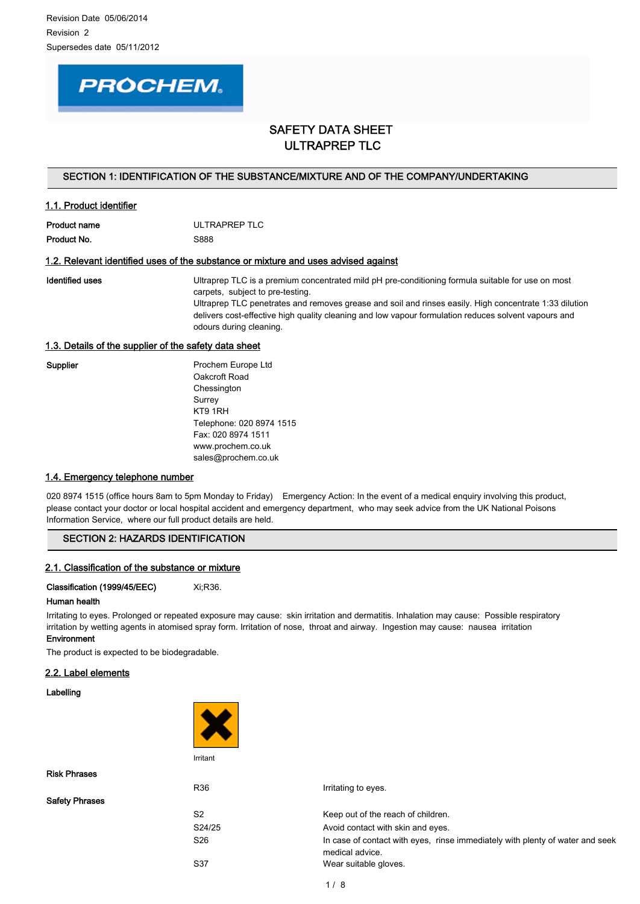# **PROCHEM.**

# SAFETY DATA SHEET ULTRAPREP TLC

# SECTION 1: IDENTIFICATION OF THE SUBSTANCE/MIXTURE AND OF THE COMPANY/UNDERTAKING

# 1.1. Product identifier

| Product name | ULTRAPREP TLC |
|--------------|---------------|
| Product No.  | S888          |

# 1.2. Relevant identified uses of the substance or mixture and uses advised against

Identified uses **Exercise 3** Ultraprep TLC is a premium concentrated mild pH pre-conditioning formula suitable for use on most carpets, subject to pre-testing. Ultraprep TLC penetrates and removes grease and soil and rinses easily. High concentrate 1:33 dilution delivers cost-effective high quality cleaning and low vapour formulation reduces solvent vapours and odours during cleaning.

# 1.3. Details of the supplier of the safety data sheet

| <b>Supplier</b> | Prochem Europe Ltd       |
|-----------------|--------------------------|
|                 | Oakcroft Road            |
|                 | Chessington              |
|                 | Surrey                   |
|                 | KT9 1RH                  |
|                 | Telephone: 020 8974 1515 |
|                 | Fax: 020 8974 1511       |
|                 | www.prochem.co.uk        |
|                 | sales@prochem.co.uk      |

# 1.4. Emergency telephone number

020 8974 1515 (office hours 8am to 5pm Monday to Friday) Emergency Action: In the event of a medical enquiry involving this product, please contact your doctor or local hospital accident and emergency department, who may seek advice from the UK National Poisons Information Service, where our full product details are held.

# SECTION 2: HAZARDS IDENTIFICATION

# 2.1. Classification of the substance or mixture

Classification (1999/45/EEC) Xi;R36.

# Human health

Irritating to eyes. Prolonged or repeated exposure may cause: skin irritation and dermatitis. Inhalation may cause: Possible respiratory irritation by wetting agents in atomised spray form. Irritation of nose, throat and airway. Ingestion may cause: nausea irritation Environment

The product is expected to be biodegradable.

# 2.2. Label elements

Labelling



| <b>Risk Phrases</b>   |                                                                                                  |
|-----------------------|--------------------------------------------------------------------------------------------------|
| R36                   | Irritating to eyes.                                                                              |
| <b>Safety Phrases</b> |                                                                                                  |
| S <sub>2</sub>        | Keep out of the reach of children.                                                               |
| S24/25                | Avoid contact with skin and eyes.                                                                |
| S26                   | In case of contact with eyes, rinse immediately with plenty of water and seek<br>medical advice. |
| S37                   | Wear suitable gloves.                                                                            |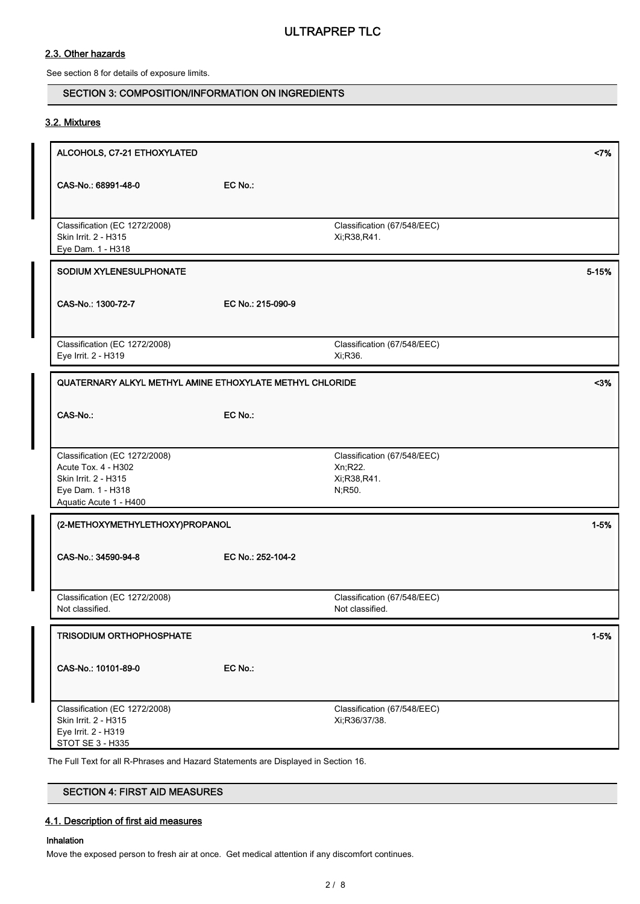# 2.3. Other hazards

See section 8 for details of exposure limits.

# SECTION 3: COMPOSITION/INFORMATION ON INGREDIENTS

# 3.2. Mixtures

| ALCOHOLS, C7-21 ETHOXYLATED                                                                                                                                                            |                   |                                                                  | <7%      |
|----------------------------------------------------------------------------------------------------------------------------------------------------------------------------------------|-------------------|------------------------------------------------------------------|----------|
| CAS-No.: 68991-48-0                                                                                                                                                                    | EC No.:           |                                                                  |          |
| Classification (EC 1272/2008)<br>Skin Irrit. 2 - H315<br>Eye Dam. 1 - H318                                                                                                             |                   | Classification (67/548/EEC)<br>Xi, R38, R41.                     |          |
| SODIUM XYLENESULPHONATE                                                                                                                                                                |                   |                                                                  | 5-15%    |
| CAS-No.: 1300-72-7                                                                                                                                                                     | EC No.: 215-090-9 |                                                                  |          |
| Classification (EC 1272/2008)<br>Eye Irrit. 2 - H319                                                                                                                                   |                   | Classification (67/548/EEC)<br>Xi, R36.                          |          |
| QUATERNARY ALKYL METHYL AMINE ETHOXYLATE METHYL CHLORIDE                                                                                                                               |                   |                                                                  | $3%$     |
| CAS-No.:                                                                                                                                                                               | EC No.:           |                                                                  |          |
| Classification (EC 1272/2008)<br>Acute Tox. 4 - H302<br>Skin Irrit. 2 - H315<br>Eye Dam. 1 - H318<br>Aquatic Acute 1 - H400                                                            |                   | Classification (67/548/EEC)<br>Xn, R22.<br>Xi;R38,R41.<br>N;R50. |          |
| (2-METHOXYMETHYLETHOXY)PROPANOL                                                                                                                                                        |                   |                                                                  | $1 - 5%$ |
| CAS-No.: 34590-94-8                                                                                                                                                                    | EC No.: 252-104-2 |                                                                  |          |
| Classification (EC 1272/2008)<br>Not classified.                                                                                                                                       |                   | Classification (67/548/EEC)<br>Not classified.                   |          |
| <b>TRISODIUM ORTHOPHOSPHATE</b>                                                                                                                                                        |                   |                                                                  | $1 - 5%$ |
| CAS-No.: 10101-89-0                                                                                                                                                                    | EC No.:           |                                                                  |          |
| Classification (EC 1272/2008)<br>Skin Irrit. 2 - H315<br>Eye Irrit. 2 - H319<br>STOT SE 3 - H335<br>The Full Text for all R-Phrases and Hazard Statements are Displayed in Section 16. |                   | Classification (67/548/EEC)<br>Xi;R36/37/38.                     |          |

SECTION 4: FIRST AID MEASURES

# 4.1. Description of first aid measures

# Inhalation

Move the exposed person to fresh air at once. Get medical attention if any discomfort continues.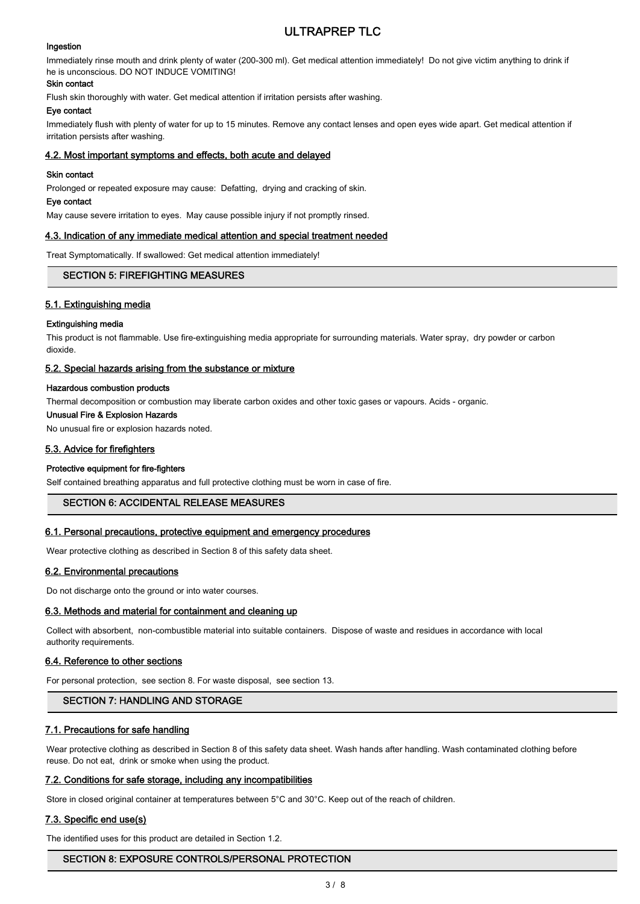# Ingestion

Immediately rinse mouth and drink plenty of water (200-300 ml). Get medical attention immediately! Do not give victim anything to drink if he is unconscious. DO NOT INDUCE VOMITING!

# Skin contact

Flush skin thoroughly with water. Get medical attention if irritation persists after washing.

# Eye contact

Immediately flush with plenty of water for up to 15 minutes. Remove any contact lenses and open eyes wide apart. Get medical attention if irritation persists after washing.

# 4.2. Most important symptoms and effects, both acute and delayed

# Skin contact

Prolonged or repeated exposure may cause: Defatting, drying and cracking of skin.

# Eye contact

May cause severe irritation to eyes. May cause possible injury if not promptly rinsed.

#### 4.3. Indication of any immediate medical attention and special treatment needed

Treat Symptomatically. If swallowed: Get medical attention immediately!

# SECTION 5: FIREFIGHTING MEASURES

# 5.1. Extinguishing media

#### Extinguishing media

This product is not flammable. Use fire-extinguishing media appropriate for surrounding materials. Water spray, dry powder or carbon dioxide.

#### 5.2. Special hazards arising from the substance or mixture

#### Hazardous combustion products

Thermal decomposition or combustion may liberate carbon oxides and other toxic gases or vapours. Acids - organic.

# Unusual Fire & Explosion Hazards

No unusual fire or explosion hazards noted.

# 5.3. Advice for firefighters

# Protective equipment for fire-fighters

Self contained breathing apparatus and full protective clothing must be worn in case of fire.

# SECTION 6: ACCIDENTAL RELEASE MEASURES

# 6.1. Personal precautions, protective equipment and emergency procedures

Wear protective clothing as described in Section 8 of this safety data sheet.

# 6.2. Environmental precautions

Do not discharge onto the ground or into water courses.

# 6.3. Methods and material for containment and cleaning up

Collect with absorbent, non-combustible material into suitable containers. Dispose of waste and residues in accordance with local authority requirements.

#### 6.4. Reference to other sections

For personal protection, see section 8. For waste disposal, see section 13.

# SECTION 7: HANDLING AND STORAGE

# 7.1. Precautions for safe handling

Wear protective clothing as described in Section 8 of this safety data sheet. Wash hands after handling. Wash contaminated clothing before reuse. Do not eat, drink or smoke when using the product.

# 7.2. Conditions for safe storage, including any incompatibilities

Store in closed original container at temperatures between 5°C and 30°C. Keep out of the reach of children.

# 7.3. Specific end use(s)

The identified uses for this product are detailed in Section 1.2.

# SECTION 8: EXPOSURE CONTROLS/PERSONAL PROTECTION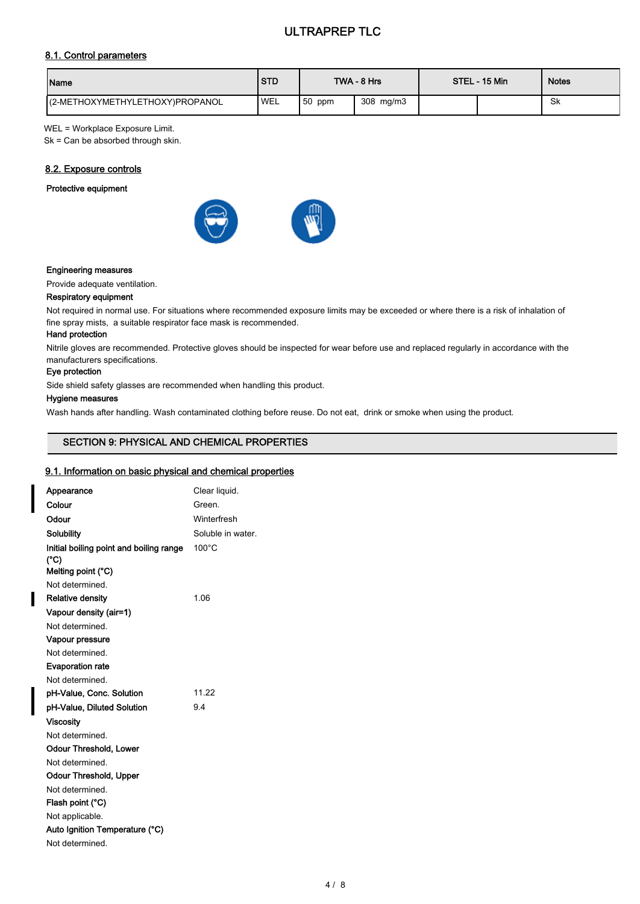# 8.1. Control parameters

| Name                            | <b>STD</b> |        | TWA - 8 Hrs | STEL - 15 Min | <b>Notes</b> |
|---------------------------------|------------|--------|-------------|---------------|--------------|
| (2-METHOXYMETHYLETHOXY)PROPANOL | 'WEL       | 50 ppm | 308 mg/m3   |               | Sk           |

WEL = Workplace Exposure Limit.

Sk = Can be absorbed through skin.

# 8.2. Exposure controls

# Protective equipment



#### Engineering measures

Provide adequate ventilation.

#### Respiratory equipment

Not required in normal use. For situations where recommended exposure limits may be exceeded or where there is a risk of inhalation of fine spray mists, a suitable respirator face mask is recommended.

# Hand protection

Nitrile gloves are recommended. Protective gloves should be inspected for wear before use and replaced regularly in accordance with the manufacturers specifications.

# Eye protection

Side shield safety glasses are recommended when handling this product.

#### Hygiene measures

Wash hands after handling. Wash contaminated clothing before reuse. Do not eat, drink or smoke when using the product.

# SECTION 9: PHYSICAL AND CHEMICAL PROPERTIES

# 9.1. Information on basic physical and chemical properties

| Appearance                              | Clear liquid.     |
|-----------------------------------------|-------------------|
| Colour                                  | Green             |
| Odour                                   | Winterfresh       |
| <b>Solubility</b>                       | Soluble in water. |
| Initial boiling point and boiling range | $100^{\circ}$ C   |
| (°C)<br>Melting point (°C)              |                   |
| Not determined                          |                   |
| <b>Relative density</b>                 | 1.06              |
| Vapour density (air=1)                  |                   |
| Not determined                          |                   |
| Vapour pressure                         |                   |
| Not determined.                         |                   |
| <b>Evaporation rate</b>                 |                   |
| Not determined.                         |                   |
| pH-Value, Conc. Solution                | 11.22             |
| pH-Value, Diluted Solution              | 94                |
| <b>Viscosity</b>                        |                   |
| Not determined.                         |                   |
| <b>Odour Threshold, Lower</b>           |                   |
| Not determined.                         |                   |
| Odour Threshold, Upper                  |                   |
| Not determined                          |                   |
| Flash point (°C)                        |                   |
| Not applicable.                         |                   |
| Auto Ignition Temperature (°C)          |                   |
| Not determined.                         |                   |
|                                         |                   |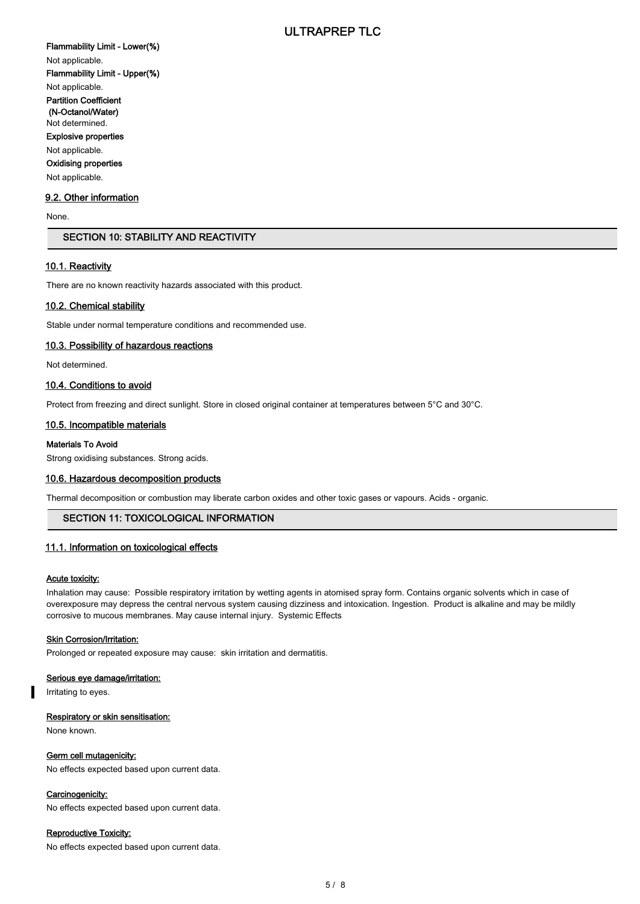Flammability Limit - Lower(%) Not applicable. Flammability Limit - Upper(%) Not applicable. Partition Coefficient (N-Octanol/Water) Not determined. Explosive properties Not applicable. Oxidising properties Not applicable.

# 9.2. Other information

None.

# SECTION 10: STABILITY AND REACTIVITY

#### 10.1. Reactivity

There are no known reactivity hazards associated with this product.

#### 10.2. Chemical stability

Stable under normal temperature conditions and recommended use.

#### 10.3. Possibility of hazardous reactions

Not determined.

#### 10.4. Conditions to avoid

Protect from freezing and direct sunlight. Store in closed original container at temperatures between 5°C and 30°C.

#### 10.5. Incompatible materials

#### Materials To Avoid

Strong oxidising substances. Strong acids.

#### 10.6. Hazardous decomposition products

Thermal decomposition or combustion may liberate carbon oxides and other toxic gases or vapours. Acids - organic.

# SECTION 11: TOXICOLOGICAL INFORMATION

#### 11.1. Information on toxicological effects

# Acute toxicity:

Inhalation may cause: Possible respiratory irritation by wetting agents in atomised spray form. Contains organic solvents which in case of overexposure may depress the central nervous system causing dizziness and intoxication. Ingestion. Product is alkaline and may be mildly corrosive to mucous membranes. May cause internal injury. Systemic Effects

#### **Skin Corrosion/Irritation:**

Prolonged or repeated exposure may cause: skin irritation and dermatitis.

## Serious eye damage/irritation:

Irritating to eyes.

#### Respiratory or skin sensitisation:

None known.

#### Germ cell mutagenicity:

No effects expected based upon current data.

#### Carcinogenicity:

No effects expected based upon current data.

#### Reproductive Toxicity:

No effects expected based upon current data.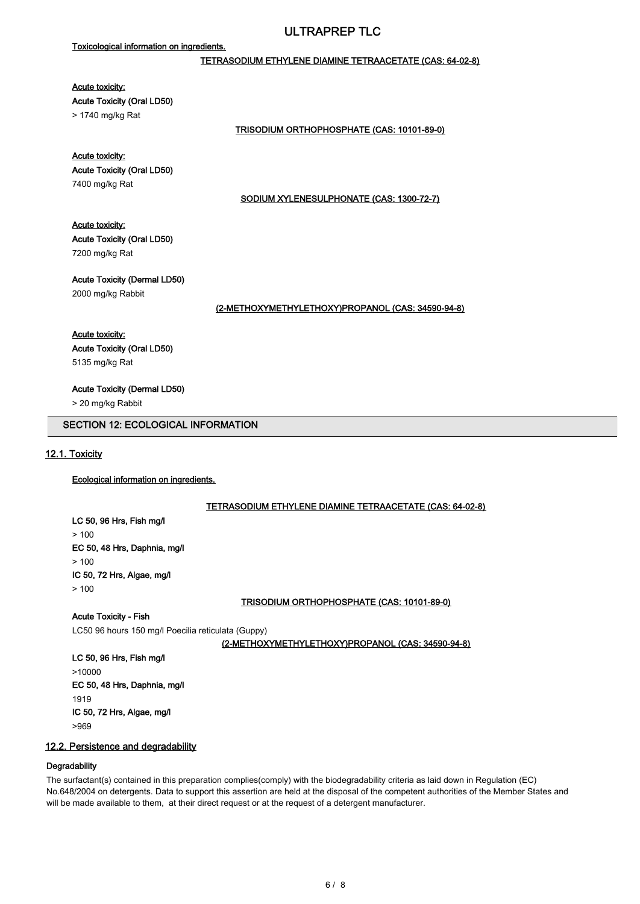# Toxicological information on ingredients.

# TETRASODIUM ETHYLENE DIAMINE TETRAACETATE (CAS: 64-02-8)

#### Acute toxicity:

Acute Toxicity (Oral LD50)

> 1740 mg/kg Rat

#### TRISODIUM ORTHOPHOSPHATE (CAS: 10101-89-0)

# Acute toxicity:

Acute Toxicity (Oral LD50) 7400 mg/kg Rat

#### SODIUM XYLENESULPHONATE (CAS: 1300-72-7)

# Acute toxicity:

Acute Toxicity (Oral LD50) 7200 mg/kg Rat

Acute Toxicity (Dermal LD50) 2000 mg/kg Rabbit

#### (2-METHOXYMETHYLETHOXY)PROPANOL (CAS: 34590-94-8)

#### Acute toxicity:

Acute Toxicity (Oral LD50) 5135 mg/kg Rat

Acute Toxicity (Dermal LD50)

> 20 mg/kg Rabbit

# SECTION 12: ECOLOGICAL INFORMATION

# 12.1. Toxicity

Ecological information on ingredients.

#### TETRASODIUM ETHYLENE DIAMINE TETRAACETATE (CAS: 64-02-8)

LC 50, 96 Hrs, Fish mg/l > 100 EC 50, 48 Hrs, Daphnia, mg/l  $> 100$ IC 50, 72 Hrs, Algae, mg/l  $> 100$ 

TRISODIUM ORTHOPHOSPHATE (CAS: 10101-89-0)

Acute Toxicity - Fish

LC50 96 hours 150 mg/l Poecilia reticulata (Guppy)

(2-METHOXYMETHYLETHOXY)PROPANOL (CAS: 34590-94-8)

LC 50, 96 Hrs, Fish mg/l >10000 EC 50, 48 Hrs, Daphnia, mg/l 1919 IC 50, 72 Hrs, Algae, mg/l >969

# 12.2. Persistence and degradability

#### **Degradability**

The surfactant(s) contained in this preparation complies(comply) with the biodegradability criteria as laid down in Regulation (EC) No.648/2004 on detergents. Data to support this assertion are held at the disposal of the competent authorities of the Member States and will be made available to them, at their direct request or at the request of a detergent manufacturer.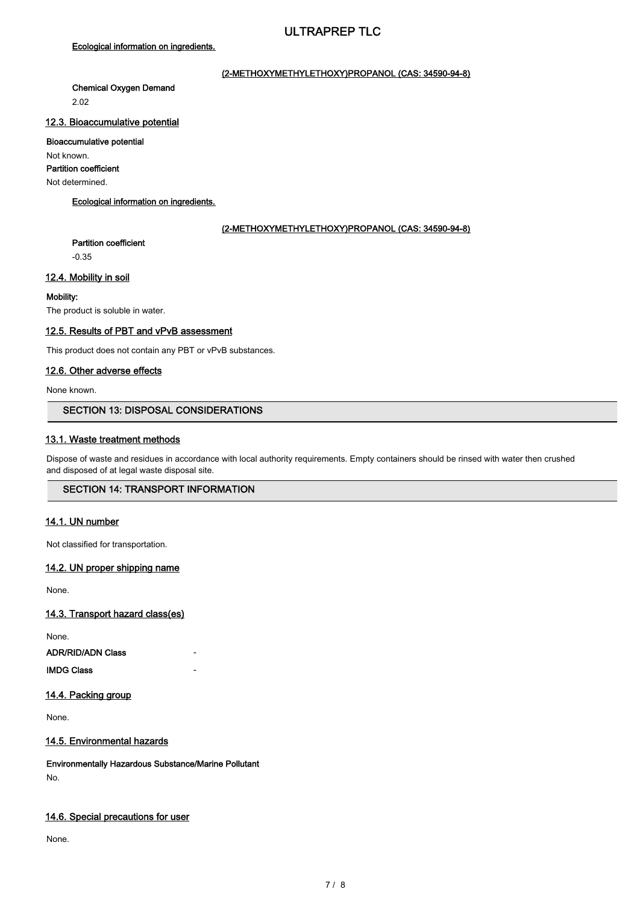# Ecological information on ingredients.

# (2-METHOXYMETHYLETHOXY)PROPANOL (CAS: 34590-94-8)

Chemical Oxygen Demand 2.02

# 12.3. Bioaccumulative potential

#### Bioaccumulative potential

Not known.

Partition coefficient

Not determined.

# Ecological information on ingredients.

# (2-METHOXYMETHYLETHOXY)PROPANOL (CAS: 34590-94-8)

Partition coefficient

-0.35

# 12.4. Mobility in soil

# Mobility:

The product is soluble in water.

# 12.5. Results of PBT and vPvB assessment

This product does not contain any PBT or vPvB substances.

# 12.6. Other adverse effects

None known.

# SECTION 13: DISPOSAL CONSIDERATIONS

# 13.1. Waste treatment methods

Dispose of waste and residues in accordance with local authority requirements. Empty containers should be rinsed with water then crushed and disposed of at legal waste disposal site.

# SECTION 14: TRANSPORT INFORMATION

# 14.1. UN number

Not classified for transportation.

# 14.2. UN proper shipping name

None.

14.3. Transport hazard class(es)

None.

ADR/RID/ADN Class

**IMDG Class** 

# 14.4. Packing group

None.

# 14.5. Environmental hazards

Environmentally Hazardous Substance/Marine Pollutant No.

# 14.6. Special precautions for user

None.